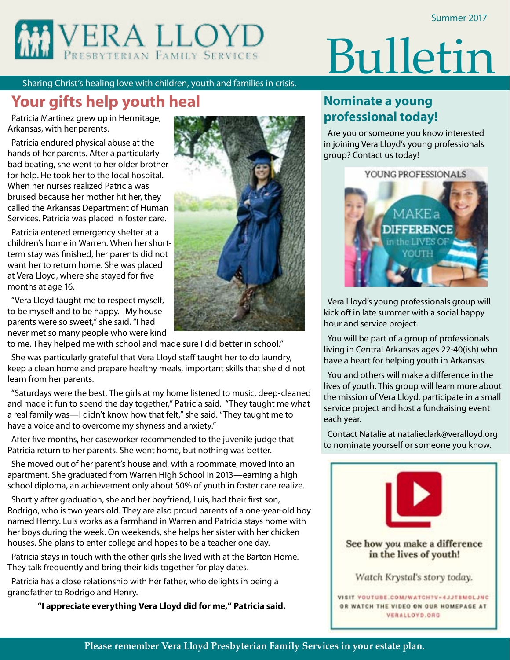

# Bulletin

Sharing Christ's healing love with children, youth and families in crisis.

# **Your gifts help youth heal**

Patricia Martinez grew up in Hermitage, Arkansas, with her parents.

Patricia endured physical abuse at the hands of her parents. After a particularly bad beating, she went to her older brother for help. He took her to the local hospital. When her nurses realized Patricia was bruised because her mother hit her, they called the Arkansas Department of Human Services. Patricia was placed in foster care.

Patricia entered emergency shelter at a children's home in Warren. When her shortterm stay was finished, her parents did not want her to return home. She was placed at Vera Lloyd, where she stayed for five months at age 16.

"Vera Lloyd taught me to respect myself, to be myself and to be happy. My house parents were so sweet," she said. "I had never met so many people who were kind

to me. They helped me with school and made sure I did better in school."

She was particularly grateful that Vera Lloyd staff taught her to do laundry, keep a clean home and prepare healthy meals, important skills that she did not learn from her parents.

"Saturdays were the best. The girls at my home listened to music, deep-cleaned and made it fun to spend the day together," Patricia said. "They taught me what a real family was—I didn't know how that felt," she said. "They taught me to have a voice and to overcome my shyness and anxiety."

After five months, her caseworker recommended to the juvenile judge that Patricia return to her parents. She went home, but nothing was better.

She moved out of her parent's house and, with a roommate, moved into an apartment. She graduated from Warren High School in 2013—earning a high school diploma, an achievement only about 50% of youth in foster care realize.

Shortly after graduation, she and her boyfriend, Luis, had their first son, Rodrigo, who is two years old. They are also proud parents of a one-year-old boy named Henry. Luis works as a farmhand in Warren and Patricia stays home with her boys during the week. On weekends, she helps her sister with her chicken houses. She plans to enter college and hopes to be a teacher one day.

Patricia stays in touch with the other girls she lived with at the Barton Home. They talk frequently and bring their kids together for play dates.

Patricia has a close relationship with her father, who delights in being a grandfather to Rodrigo and Henry.

**"I appreciate everything Vera Lloyd did for me," Patricia said.**



# **Nominate a young professional today!**

Are you or someone you know interested in joining Vera Lloyd's young professionals group? Contact us today!



Vera Lloyd's young professionals group will kick off in late summer with a social happy hour and service project.

You will be part of a group of professionals living in Central Arkansas ages 22-40(ish) who have a heart for helping youth in Arkansas.

You and others will make a difference in the lives of youth. This group will learn more about the mission of Vera Lloyd, participate in a small service project and host a fundraising event each year.

Contact Natalie at natalieclark@veralloyd.org to nominate yourself or someone you know.

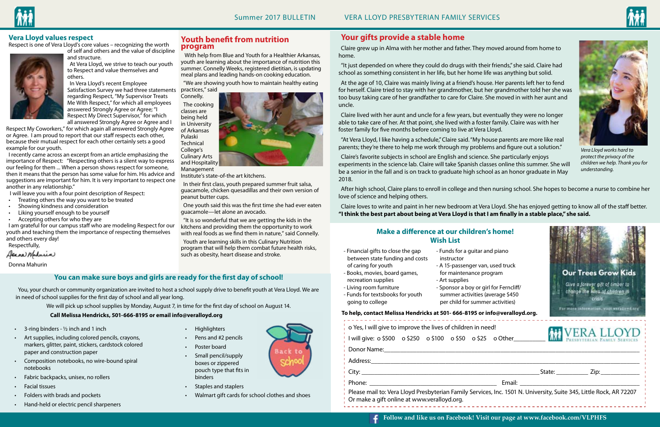### **Vera Lloyd values respect**

Respect is one of Vera Lloyd's core values – recognizing the worth



of self and others and the value of discipline and structure.

At Vera Lloyd, we strive to teach our youth to Respect and value themselves and others.

In Vera Lloyd's recent Employee Satisfaction Survey we had three statements regarding Respect, "My Supervisor Treats Me With Respect," for which all employees answered Strongly Agree or Agree; "I Respect My Direct Supervisor," for which all answered Strongly Agree or Agree and I

Respect My Coworkers," for which again all answered Strongly Agree or Agree. I am proud to report that our staff respects each other, because their mutual respect for each other certainly sets a good example for our youth.

I recently came across an excerpt from an article emphasizing the importance of Respect: "Respecting others is a silent way to express our feeling for them ... When a person shows respect for someone, then it means that the person has some value for him. His advice and suggestions are important for him. It is very important to respect one another in any relationship."

I will leave you with a four point description of Respect:

- • Treating others the way you want to be treated
- Showing kindness and consideration
- • Liking yourself enough to be yourself
- • Accepting others for who they are

I am grateful for our campus staff who are modeling Respect for our youth and teaching them the importance of respecting themselves and others every day!

Respectfully,

Alexand Maharin

Donna Mahurin

- $\cdot$  3-ring binders  $\frac{1}{2}$  inch and 1 inch
- Art supplies, including colored pencils, crayons, markers, glitter, paint, stickers, cardstock colored paper and construction paper
- Composition notebooks, no wire-bound spiral notebooks
- Fabric backpacks, unisex, no rollers
- **Facial tissues**
- Folders with brads and pockets
- • Hand-held or electric pencil sharpeners

| - Financial gifts to close the gap<br>between state funding and costs<br>of caring for youth<br>- Books, movies, board games,<br>recreation supplies<br>- Living room furniture<br>- Funds for textsbooks for youth<br>going to college | - Funds for a guitar and piano<br>instructor<br>- A 15-passenger van, used truck<br>for maintenance program<br>- Art supplies<br>- Sponsor a boy or girl for Ferncliff/<br>summer activities (average \$450<br>per child for summer activities)<br>To help, contact Melissa Hendricks at 501- 666-8195 or info@veralloyd.org. | <b>Our Trees Grow Kids</b><br>Give a forever gift of timber to<br>change the lives of children in<br><b>Crisis</b><br>For more information, visit veralleyd org |
|-----------------------------------------------------------------------------------------------------------------------------------------------------------------------------------------------------------------------------------------|-------------------------------------------------------------------------------------------------------------------------------------------------------------------------------------------------------------------------------------------------------------------------------------------------------------------------------|-----------------------------------------------------------------------------------------------------------------------------------------------------------------|
| o Yes, I will give to improve the lives of children in need!<br>Donor Name:                                                                                                                                                             | I will give: 0 \$500  0 \$250  0 \$100  0 \$50  0 \$25  0 Other                                                                                                                                                                                                                                                               | <b>MI VERA LLOYD</b>                                                                                                                                            |
|                                                                                                                                                                                                                                         |                                                                                                                                                                                                                                                                                                                               |                                                                                                                                                                 |
| Or make a gift online at www.veralloyd.org.                                                                                                                                                                                             | Please mail to: Vera Lloyd Presbyterian Family Services, Inc. 1501 N. University, Suite 345, Little Rock, AR 72207                                                                                                                                                                                                            |                                                                                                                                                                 |





- 
- 
- recreation supplies
- 
- Funds for textsbooks for youth going to college
- instructor
- 
- 
- 

## **Make a difference at our children's home! Wish List**

- • Highlighters
- Pens and #2 pencils
- Poster board
- • Small pencil/supply boxes or zippered pouch type that fits in binders
- Staples and staplers
- • Walmart gift cards for school clothes and shoes

# **Your gifts provide a stable home**

Claire grew up in Alma with her mother and father. They moved around from home to home.

"It just depended on where they could do drugs with their friends," she said. Claire had school as something consistent in her life, but her home life was anything but solid.

At the age of 10, Claire was mainly living at a friend's house. Her parents left her to fend for herself. Claire tried to stay with her grandmother, but her grandmother told her she was too busy taking care of her grandfather to care for Claire. She moved in with her aunt and uncle.

Claire lived with her aunt and uncle for a few years, but eventually they were no longer able to take care of her. At that point, she lived with a foster family. Claire was with her foster family for five months before coming to live at Vera Lloyd.

"At Vera Lloyd, I like having a schedule," Claire said. "My house parents are more like real parents; they're there to help me work through my problems and figure out a solution."

Claire's favorite subjects in school are English and science. She particularly enjoys experiments in the science lab. Claire will take Spanish classes online this summer. She will be a senior in the fall and is on track to graduate high school as an honor graduate in May 2018.

After high school, Claire plans to enroll in college and then nursing school. She hopes to become a nurse to combine her love of science and helping others.

Claire loves to write and paint in her new bedroom at Vera Lloyd. She has enjoyed getting to know all of the staff better. **"I think the best part about being at Vera Lloyd is that I am finally in a stable place," she said.** 

### **You can make sure boys and girls are ready for the first day of school!**

You, your church or community organization are invited to host a school supply drive to benefit youth at Vera Lloyd. We are in need of school supplies for the first day of school and all year long.

We will pick up school supplies by Monday, August 7, in time for the first day of school on August 14.

### **Call Melissa Hendricks, 501-666-8195 or email info@veralloyd.org**

**Youth benefit from nutrition** 

**program**

 With help from Blue and Youth for a Healthier Arkansas, youth are learning about the importance of nutrition this summer. Connelly Weeks, registered dietitian, is updating meal plans and leading hands-on cooking education.



practices," said Connelly. The cooking classes are being held in University of Arkansas Pulaski **Technical** College's Culinary Arts and Hospitality Management

Institute's state-of-the art kitchens.

In their first class, youth prepared summer fruit salsa, guacamole, chicken quesadillas and their own version of

peanut butter cups.

One youth said this was the first time she had ever eaten

guacamole—let alone an avocado.

"It is so wonderful that we are getting the kids in the kitchens and providing them the opportunity to work with real foods as we find them in nature," said Connelly.

Youth are learning skills in this Culinary Nutrition program that will help them combat future health risks,

such as obesity, heart disease and stroke.



*Vera Lloyd works hard to protect the privacy of the children we help. Thank you for understanding.*